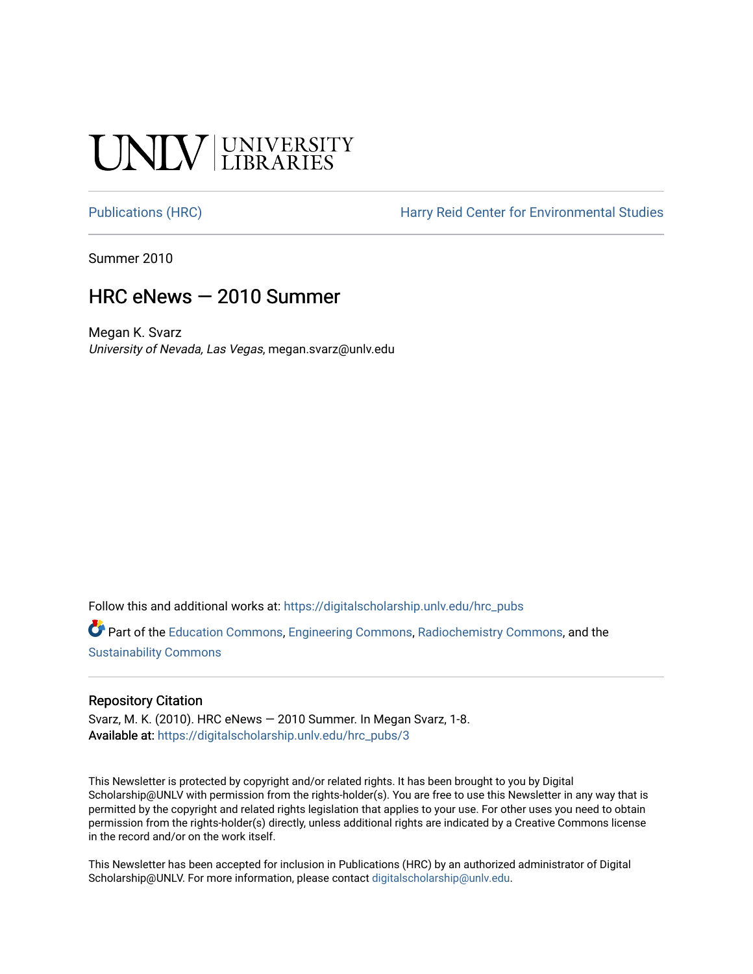## **SALV UNIVERSITY**

[Publications \(HRC\)](https://digitalscholarship.unlv.edu/hrc_pubs) The Harry Reid Center for Environmental Studies

Summer 2010

### HRC eNews — 2010 Summer

Megan K. Svarz University of Nevada, Las Vegas, megan.svarz@unlv.edu

Follow this and additional works at: [https://digitalscholarship.unlv.edu/hrc\\_pubs](https://digitalscholarship.unlv.edu/hrc_pubs?utm_source=digitalscholarship.unlv.edu%2Fhrc_pubs%2F3&utm_medium=PDF&utm_campaign=PDFCoverPages)

Part of the [Education Commons](http://network.bepress.com/hgg/discipline/784?utm_source=digitalscholarship.unlv.edu%2Fhrc_pubs%2F3&utm_medium=PDF&utm_campaign=PDFCoverPages), [Engineering Commons](http://network.bepress.com/hgg/discipline/217?utm_source=digitalscholarship.unlv.edu%2Fhrc_pubs%2F3&utm_medium=PDF&utm_campaign=PDFCoverPages), [Radiochemistry Commons,](http://network.bepress.com/hgg/discipline/1196?utm_source=digitalscholarship.unlv.edu%2Fhrc_pubs%2F3&utm_medium=PDF&utm_campaign=PDFCoverPages) and the [Sustainability Commons](http://network.bepress.com/hgg/discipline/1031?utm_source=digitalscholarship.unlv.edu%2Fhrc_pubs%2F3&utm_medium=PDF&utm_campaign=PDFCoverPages)

#### Repository Citation

Svarz, M. K. (2010). HRC eNews — 2010 Summer. In Megan Svarz, 1-8. Available at: [https://digitalscholarship.unlv.edu/hrc\\_pubs/3](https://digitalscholarship.unlv.edu/hrc_pubs/3)

This Newsletter is protected by copyright and/or related rights. It has been brought to you by Digital Scholarship@UNLV with permission from the rights-holder(s). You are free to use this Newsletter in any way that is permitted by the copyright and related rights legislation that applies to your use. For other uses you need to obtain permission from the rights-holder(s) directly, unless additional rights are indicated by a Creative Commons license in the record and/or on the work itself.

This Newsletter has been accepted for inclusion in Publications (HRC) by an authorized administrator of Digital Scholarship@UNLV. For more information, please contact [digitalscholarship@unlv.edu.](mailto:digitalscholarship@unlv.edu)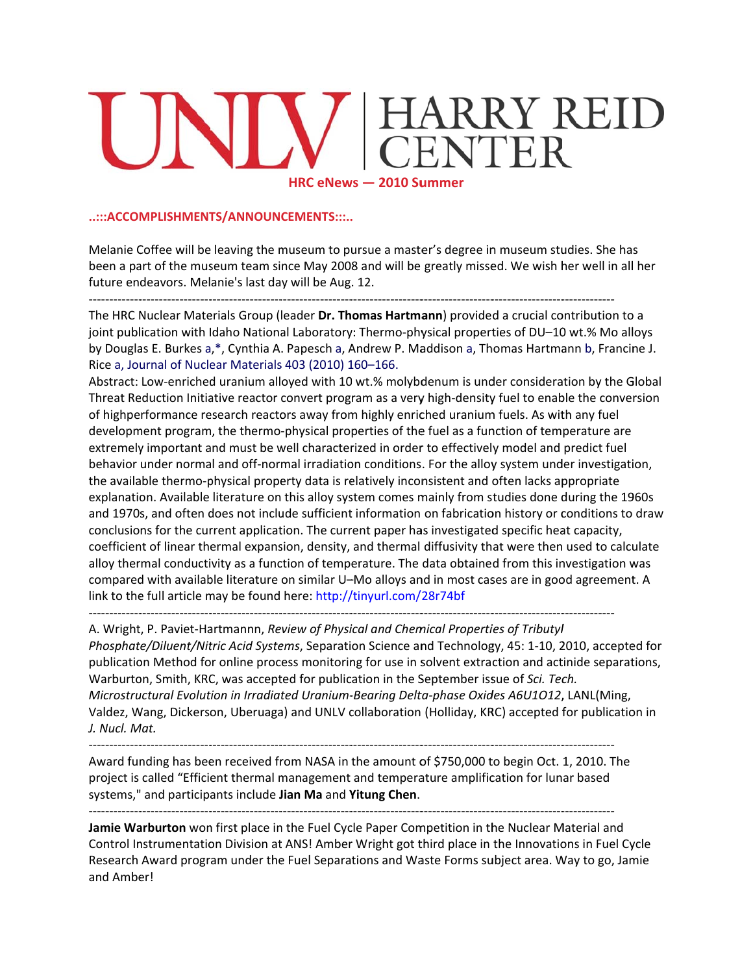# HARRY REID<br>CENTER **HRC eNew ws — 2010 Su ummer**

#### **..:::ACCOM MPLISHMENT TS/ANNOUN CEMENTS:::.. .**

Melanie Coffee will be leaving the museum to pursue a master's degree in museum studies. She has been a part of the museum team since May 2008 and will be greatly missed. We wish her well in all her future endeavors. Melanie's last day will be Aug. 12.

-------------<br>. •••••••••••••••••• ‐‐‐‐‐‐‐‐‐‐‐‐‐‐‐‐‐‐ ‐‐‐‐‐‐‐‐‐‐‐‐‐‐‐‐‐‐ ------------------<br>-‐‐‐‐‐‐‐‐‐‐‐‐‐‐‐‐‐‐ -----------------<br>-‐‐‐‐‐‐‐‐‐‐‐‐‐

The HRC Nuclear Materials Group (leader **Dr. Thomas Hartmann**) provided a crucial contribution to a joint publication with Idaho National Laboratory: Thermo-physical properties of DU-10 wt.% Mo alloys by Douglas E. Burkes a,\*, Cynthia A. Papesch a, Andrew P. Maddison a, Thomas Hartmann b, Francine J. Rice a, Journal of Nuclear Materials 403 (2010) 160-166.

Abstract: Low-enriched uranium alloyed with 10 wt.% molybdenum is under consideration by the Global Threat Reduction Initiative reactor convert program as a very high-density fuel to enable the conversion of highperformance research reactors away from highly enriched uranium fuels. As with any fuel development program, the thermo-physical properties of the fuel as a function of temperature are extremely important and must be well characterized in order to effectively model and predict fuel behavior under normal and off-normal irradiation conditions. For the alloy system under investigation, the available thermo-physical property data is relatively inconsistent and often lacks appropriate explanation. Available literature on this alloy system comes mainly from studies done during the 1960s and 1970s, and often does not include sufficient information on fabrication history or conditions to draw conclusions for the current application. The current paper has investigated specific heat capacity, coefficient of linear thermal expansion, density, and thermal diffusivity that were then used to calculate alloy thermal conductivity as a function of temperature. The data obtained from this investigation was compared with available literature on similar U-Mo alloys and in most cases are in good agreement. A link to the full article may be found here: http://tinyurl.com/28r74bf

-------------<br>. •••••••••••••••••• ‐‐‐‐‐‐‐‐‐‐‐‐‐‐‐‐‐‐ ‐‐‐‐‐‐‐‐‐‐‐‐‐‐‐‐‐‐ ------------------<br>-‐‐‐‐‐‐‐‐‐‐‐‐‐‐‐‐‐‐ -----------------<br>-‐‐‐‐‐‐‐‐‐‐‐‐‐

A. Wright, P. Paviet-Hartmannn, Review of Physical and Chemical Properties of Tributyl Phosphate/Diluent/Nitric Acid Systems, Separation Science and Technology, 45: 1-10, 2010, accepted for publication Method for online process monitoring for use in solvent extraction and actinide separations, Warburton, Smith, KRC, was accepted for publication in the September issue of Sci. Tech. *Microstructural Evolution in Irradiated Uranium-Bearing Delta-phase Oxides A6U1O12, LANL(Ming,* Valdez, Wang, Dickerson, Uberuaga) and UNLV collaboration (Holliday, KRC) accepted for publication in *J. Nucl. M Mat.*

-------------<br>-<mark>.................</mark> ‐‐‐‐‐‐‐‐‐‐‐‐‐‐‐‐‐‐ <mark>.................</mark> <mark>.................</mark> ‐‐‐‐‐‐‐‐‐‐‐‐‐‐‐‐‐‐ <mark>-----------------</mark> ‐‐‐‐‐‐‐‐‐‐‐‐‐

Award funding has been received from NASA in the amount of \$750,000 to begin Oct. 1, 2010. The project is called "Efficient thermal management and temperature amplification for lunar based systems," and participants include Jian Ma and Yitung Chen.

-------------<br>. •••••••••••••••••• ‐‐‐‐‐‐‐‐‐‐‐‐‐‐‐‐‐‐ ‐‐‐‐‐‐‐‐‐‐‐‐‐‐‐‐‐‐ ------------------<br>-‐‐‐‐‐‐‐‐‐‐‐‐‐‐‐‐‐‐ -----------------<br>-‐‐‐‐‐‐‐‐‐‐‐‐‐

**Jamie Warburton** won first place in the Fuel Cycle Paper Competition in the Nuclear Material and Control Instrumentation Division at ANS! Amber Wright got third place in the Innovations in Fuel Cycle Research Award program under the Fuel Separations and Waste Forms subject area. Way to go, Jamie and Amber!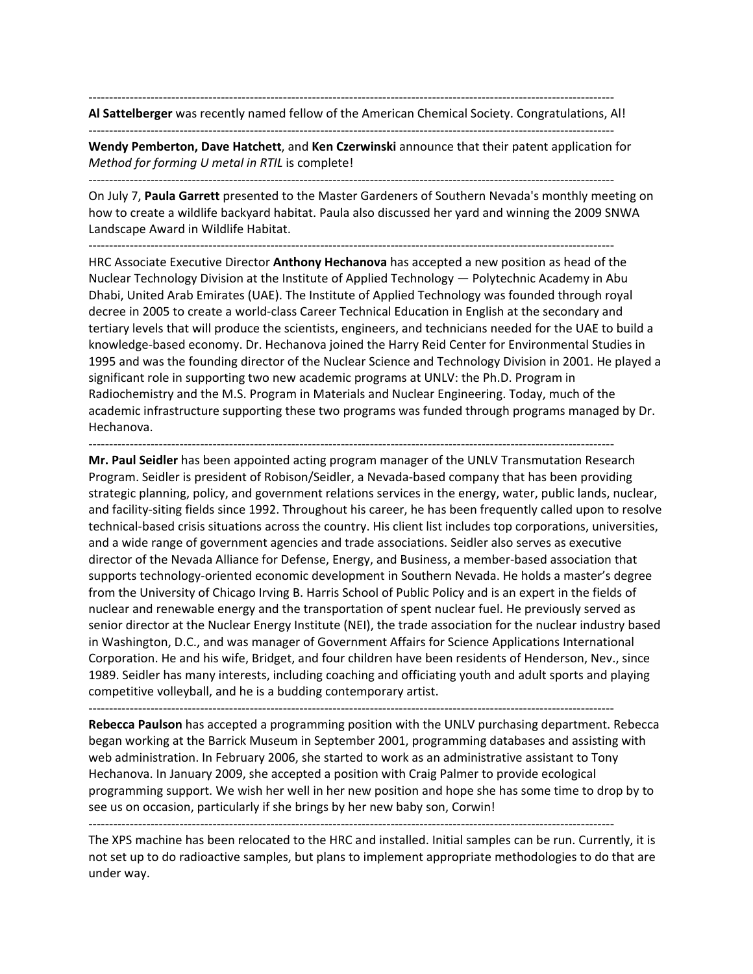‐‐‐‐‐‐‐‐‐‐‐‐‐‐‐‐‐‐‐‐‐‐‐‐‐‐‐‐‐‐‐‐‐‐‐‐‐‐‐‐‐‐‐‐‐‐‐‐‐‐‐‐‐‐‐‐‐‐‐‐‐‐‐‐‐‐‐‐‐‐‐‐‐‐‐‐‐‐‐‐‐‐‐‐‐‐‐‐‐‐‐‐‐‐‐‐‐‐‐‐‐‐‐‐‐‐‐‐‐‐‐‐‐‐‐‐‐‐‐‐‐‐‐‐‐‐‐ **Al Sattelberger** was recently named fellow of the American Chemical Society. Congratulations, Al!

‐‐‐‐‐‐‐‐‐‐‐‐‐‐‐‐‐‐‐‐‐‐‐‐‐‐‐‐‐‐‐‐‐‐‐‐‐‐‐‐‐‐‐‐‐‐‐‐‐‐‐‐‐‐‐‐‐‐‐‐‐‐‐‐‐‐‐‐‐‐‐‐‐‐‐‐‐‐‐‐‐‐‐‐‐‐‐‐‐‐‐‐‐‐‐‐‐‐‐‐‐‐‐‐‐‐‐‐‐‐‐‐‐‐‐‐‐‐‐‐‐‐‐‐‐‐‐ **Wendy Pemberton, Dave Hatchett**, and **Ken Czerwinski** announce that their patent application for *Method for forming U metal in RTIL* is complete!

‐‐‐‐‐‐‐‐‐‐‐‐‐‐‐‐‐‐‐‐‐‐‐‐‐‐‐‐‐‐‐‐‐‐‐‐‐‐‐‐‐‐‐‐‐‐‐‐‐‐‐‐‐‐‐‐‐‐‐‐‐‐‐‐‐‐‐‐‐‐‐‐‐‐‐‐‐‐‐‐‐‐‐‐‐‐‐‐‐‐‐‐‐‐‐‐‐‐‐‐‐‐‐‐‐‐‐‐‐‐‐‐‐‐‐‐‐‐‐‐‐‐‐‐‐‐‐

On July 7, **Paula Garrett** presented to the Master Gardeners of Southern Nevada's monthly meeting on how to create a wildlife backyard habitat. Paula also discussed her yard and winning the 2009 SNWA Landscape Award in Wildlife Habitat.

‐‐‐‐‐‐‐‐‐‐‐‐‐‐‐‐‐‐‐‐‐‐‐‐‐‐‐‐‐‐‐‐‐‐‐‐‐‐‐‐‐‐‐‐‐‐‐‐‐‐‐‐‐‐‐‐‐‐‐‐‐‐‐‐‐‐‐‐‐‐‐‐‐‐‐‐‐‐‐‐‐‐‐‐‐‐‐‐‐‐‐‐‐‐‐‐‐‐‐‐‐‐‐‐‐‐‐‐‐‐‐‐‐‐‐‐‐‐‐‐‐‐‐‐‐‐‐

HRC Associate Executive Director **Anthony Hechanova** has accepted a new position as head of the Nuclear Technology Division at the Institute of Applied Technology — Polytechnic Academy in Abu Dhabi, United Arab Emirates (UAE). The Institute of Applied Technology was founded through royal decree in 2005 to create a world‐class Career Technical Education in English at the secondary and tertiary levels that will produce the scientists, engineers, and technicians needed for the UAE to build a knowledge‐based economy. Dr. Hechanova joined the Harry Reid Center for Environmental Studies in 1995 and was the founding director of the Nuclear Science and Technology Division in 2001. He played a significant role in supporting two new academic programs at UNLV: the Ph.D. Program in Radiochemistry and the M.S. Program in Materials and Nuclear Engineering. Today, much of the academic infrastructure supporting these two programs was funded through programs managed by Dr. Hechanova.

‐‐‐‐‐‐‐‐‐‐‐‐‐‐‐‐‐‐‐‐‐‐‐‐‐‐‐‐‐‐‐‐‐‐‐‐‐‐‐‐‐‐‐‐‐‐‐‐‐‐‐‐‐‐‐‐‐‐‐‐‐‐‐‐‐‐‐‐‐‐‐‐‐‐‐‐‐‐‐‐‐‐‐‐‐‐‐‐‐‐‐‐‐‐‐‐‐‐‐‐‐‐‐‐‐‐‐‐‐‐‐‐‐‐‐‐‐‐‐‐‐‐‐‐‐‐‐

**Mr. Paul Seidler** has been appointed acting program manager of the UNLV Transmutation Research Program. Seidler is president of Robison/Seidler, a Nevada‐based company that has been providing strategic planning, policy, and government relations services in the energy, water, public lands, nuclear, and facility‐siting fields since 1992. Throughout his career, he has been frequently called upon to resolve technical‐based crisis situations across the country. His client list includes top corporations, universities, and a wide range of government agencies and trade associations. Seidler also serves as executive director of the Nevada Alliance for Defense, Energy, and Business, a member‐based association that supports technology-oriented economic development in Southern Nevada. He holds a master's degree from the University of Chicago Irving B. Harris School of Public Policy and is an expert in the fields of nuclear and renewable energy and the transportation of spent nuclear fuel. He previously served as senior director at the Nuclear Energy Institute (NEI), the trade association for the nuclear industry based in Washington, D.C., and was manager of Government Affairs for Science Applications International Corporation. He and his wife, Bridget, and four children have been residents of Henderson, Nev., since 1989. Seidler has many interests, including coaching and officiating youth and adult sports and playing competitive volleyball, and he is a budding contemporary artist.

‐‐‐‐‐‐‐‐‐‐‐‐‐‐‐‐‐‐‐‐‐‐‐‐‐‐‐‐‐‐‐‐‐‐‐‐‐‐‐‐‐‐‐‐‐‐‐‐‐‐‐‐‐‐‐‐‐‐‐‐‐‐‐‐‐‐‐‐‐‐‐‐‐‐‐‐‐‐‐‐‐‐‐‐‐‐‐‐‐‐‐‐‐‐‐‐‐‐‐‐‐‐‐‐‐‐‐‐‐‐‐‐‐‐‐‐‐‐‐‐‐‐‐‐‐‐‐ **Rebecca Paulson** has accepted a programming position with the UNLV purchasing department. Rebecca began working at the Barrick Museum in September 2001, programming databases and assisting with web administration. In February 2006, she started to work as an administrative assistant to Tony Hechanova. In January 2009, she accepted a position with Craig Palmer to provide ecological programming support. We wish her well in her new position and hope she has some time to drop by to see us on occasion, particularly if she brings by her new baby son, Corwin!

The XPS machine has been relocated to the HRC and installed. Initial samples can be run. Currently, it is not set up to do radioactive samples, but plans to implement appropriate methodologies to do that are under way.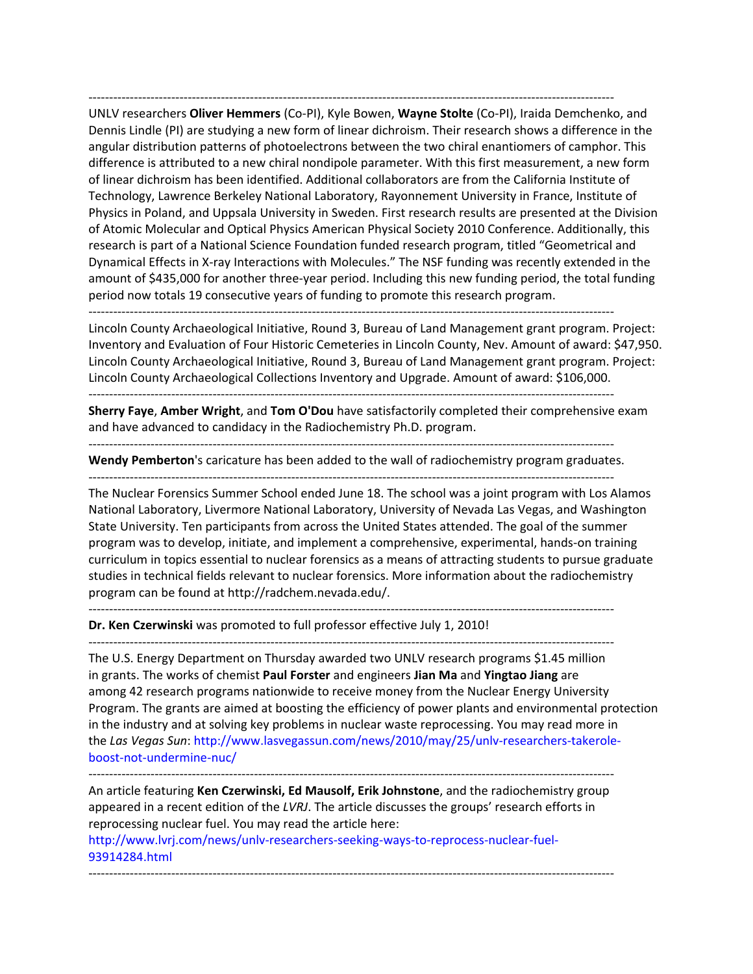‐‐‐‐‐‐‐‐‐‐‐‐‐‐‐‐‐‐‐‐‐‐‐‐‐‐‐‐‐‐‐‐‐‐‐‐‐‐‐‐‐‐‐‐‐‐‐‐‐‐‐‐‐‐‐‐‐‐‐‐‐‐‐‐‐‐‐‐‐‐‐‐‐‐‐‐‐‐‐‐‐‐‐‐‐‐‐‐‐‐‐‐‐‐‐‐‐‐‐‐‐‐‐‐‐‐‐‐‐‐‐‐‐‐‐‐‐‐‐‐‐‐‐‐‐‐‐ UNLV researchers **Oliver Hemmers** (Co‐PI), Kyle Bowen, **Wayne Stolte** (Co‐PI), Iraida Demchenko, and Dennis Lindle (PI) are studying a new form of linear dichroism. Their research shows a difference in the angular distribution patterns of photoelectrons between the two chiral enantiomers of camphor. This difference is attributed to a new chiral nondipole parameter. With this first measurement, a new form of linear dichroism has been identified. Additional collaborators are from the California Institute of Technology, Lawrence Berkeley National Laboratory, Rayonnement University in France, Institute of Physics in Poland, and Uppsala University in Sweden. First research results are presented at the Division of Atomic Molecular and Optical Physics American Physical Society 2010 Conference. Additionally, this research is part of a National Science Foundation funded research program, titled "Geometrical and Dynamical Effects in X‐ray Interactions with Molecules." The NSF funding was recently extended in the amount of \$435,000 for another three‐year period. Including this new funding period, the total funding period now totals 19 consecutive years of funding to promote this research program.

‐‐‐‐‐‐‐‐‐‐‐‐‐‐‐‐‐‐‐‐‐‐‐‐‐‐‐‐‐‐‐‐‐‐‐‐‐‐‐‐‐‐‐‐‐‐‐‐‐‐‐‐‐‐‐‐‐‐‐‐‐‐‐‐‐‐‐‐‐‐‐‐‐‐‐‐‐‐‐‐‐‐‐‐‐‐‐‐‐‐‐‐‐‐‐‐‐‐‐‐‐‐‐‐‐‐‐‐‐‐‐‐‐‐‐‐‐‐‐‐‐‐‐‐‐‐‐

‐‐‐‐‐‐‐‐‐‐‐‐‐‐‐‐‐‐‐‐‐‐‐‐‐‐‐‐‐‐‐‐‐‐‐‐‐‐‐‐‐‐‐‐‐‐‐‐‐‐‐‐‐‐‐‐‐‐‐‐‐‐‐‐‐‐‐‐‐‐‐‐‐‐‐‐‐‐‐‐‐‐‐‐‐‐‐‐‐‐‐‐‐‐‐‐‐‐‐‐‐‐‐‐‐‐‐‐‐‐‐‐‐‐‐‐‐‐‐‐‐‐‐‐‐‐‐

Lincoln County Archaeological Initiative, Round 3, Bureau of Land Management grant program. Project: Inventory and Evaluation of Four Historic Cemeteries in Lincoln County, Nev. Amount of award: \$47,950. Lincoln County Archaeological Initiative, Round 3, Bureau of Land Management grant program. Project: Lincoln County Archaeological Collections Inventory and Upgrade. Amount of award: \$106,000.

**Sherry Faye**, **Amber Wright**, and **Tom O'Dou** have satisfactorily completed their comprehensive exam

and have advanced to candidacy in the Radiochemistry Ph.D. program. ‐‐‐‐‐‐‐‐‐‐‐‐‐‐‐‐‐‐‐‐‐‐‐‐‐‐‐‐‐‐‐‐‐‐‐‐‐‐‐‐‐‐‐‐‐‐‐‐‐‐‐‐‐‐‐‐‐‐‐‐‐‐‐‐‐‐‐‐‐‐‐‐‐‐‐‐‐‐‐‐‐‐‐‐‐‐‐‐‐‐‐‐‐‐‐‐‐‐‐‐‐‐‐‐‐‐‐‐‐‐‐‐‐‐‐‐‐‐‐‐‐‐‐‐‐‐‐

**Wendy Pemberton**'s caricature has been added to the wall of radiochemistry program graduates.

‐‐‐‐‐‐‐‐‐‐‐‐‐‐‐‐‐‐‐‐‐‐‐‐‐‐‐‐‐‐‐‐‐‐‐‐‐‐‐‐‐‐‐‐‐‐‐‐‐‐‐‐‐‐‐‐‐‐‐‐‐‐‐‐‐‐‐‐‐‐‐‐‐‐‐‐‐‐‐‐‐‐‐‐‐‐‐‐‐‐‐‐‐‐‐‐‐‐‐‐‐‐‐‐‐‐‐‐‐‐‐‐‐‐‐‐‐‐‐‐‐‐‐‐‐‐‐

The Nuclear Forensics Summer School ended June 18. The school was a joint program with Los Alamos National Laboratory, Livermore National Laboratory, University of Nevada Las Vegas, and Washington State University. Ten participants from across the United States attended. The goal of the summer program was to develop, initiate, and implement a comprehensive, experimental, hands‐on training curriculum in topics essential to nuclear forensics as a means of attracting students to pursue graduate studies in technical fields relevant to nuclear forensics. More information about the radiochemistry program can be found at http://radchem.nevada.edu/.

**Dr. Ken Czerwinski** was promoted to full professor effective July 1, 2010!

‐‐‐‐‐‐‐‐‐‐‐‐‐‐‐‐‐‐‐‐‐‐‐‐‐‐‐‐‐‐‐‐‐‐‐‐‐‐‐‐‐‐‐‐‐‐‐‐‐‐‐‐‐‐‐‐‐‐‐‐‐‐‐‐‐‐‐‐‐‐‐‐‐‐‐‐‐‐‐‐‐‐‐‐‐‐‐‐‐‐‐‐‐‐‐‐‐‐‐‐‐‐‐‐‐‐‐‐‐‐‐‐‐‐‐‐‐‐‐‐‐‐‐‐‐‐‐

The U.S. Energy Department on Thursday awarded two UNLV research programs \$1.45 million in grants. The works of chemist **Paul Forster** and engineers **Jian Ma** and **Yingtao Jiang** are among 42 research programs nationwide to receive money from the Nuclear Energy University Program. The grants are aimed at boosting the efficiency of power plants and environmental protection in the industry and at solving key problems in nuclear waste reprocessing. You may read more in the *Las Vegas Sun*: http://www.lasvegassun.com/news/2010/may/25/unlv‐researchers‐takerole‐ boost‐not‐undermine‐nuc/

‐‐‐‐‐‐‐‐‐‐‐‐‐‐‐‐‐‐‐‐‐‐‐‐‐‐‐‐‐‐‐‐‐‐‐‐‐‐‐‐‐‐‐‐‐‐‐‐‐‐‐‐‐‐‐‐‐‐‐‐‐‐‐‐‐‐‐‐‐‐‐‐‐‐‐‐‐‐‐‐‐‐‐‐‐‐‐‐‐‐‐‐‐‐‐‐‐‐‐‐‐‐‐‐‐‐‐‐‐‐‐‐‐‐‐‐‐‐‐‐‐‐‐‐‐‐‐

An article featuring **Ken Czerwinski, Ed Mausolf, Erik Johnstone**, and the radiochemistry group appeared in a recent edition of the *LVRJ*. The article discusses the groups' research efforts in reprocessing nuclear fuel. You may read the article here:

‐‐‐‐‐‐‐‐‐‐‐‐‐‐‐‐‐‐‐‐‐‐‐‐‐‐‐‐‐‐‐‐‐‐‐‐‐‐‐‐‐‐‐‐‐‐‐‐‐‐‐‐‐‐‐‐‐‐‐‐‐‐‐‐‐‐‐‐‐‐‐‐‐‐‐‐‐‐‐‐‐‐‐‐‐‐‐‐‐‐‐‐‐‐‐‐‐‐‐‐‐‐‐‐‐‐‐‐‐‐‐‐‐‐‐‐‐‐‐‐‐‐‐‐‐‐‐

http://www.lvrj.com/news/unlv-researchers-seeking-ways-to-reprocess-nuclear-fuel-93914284.html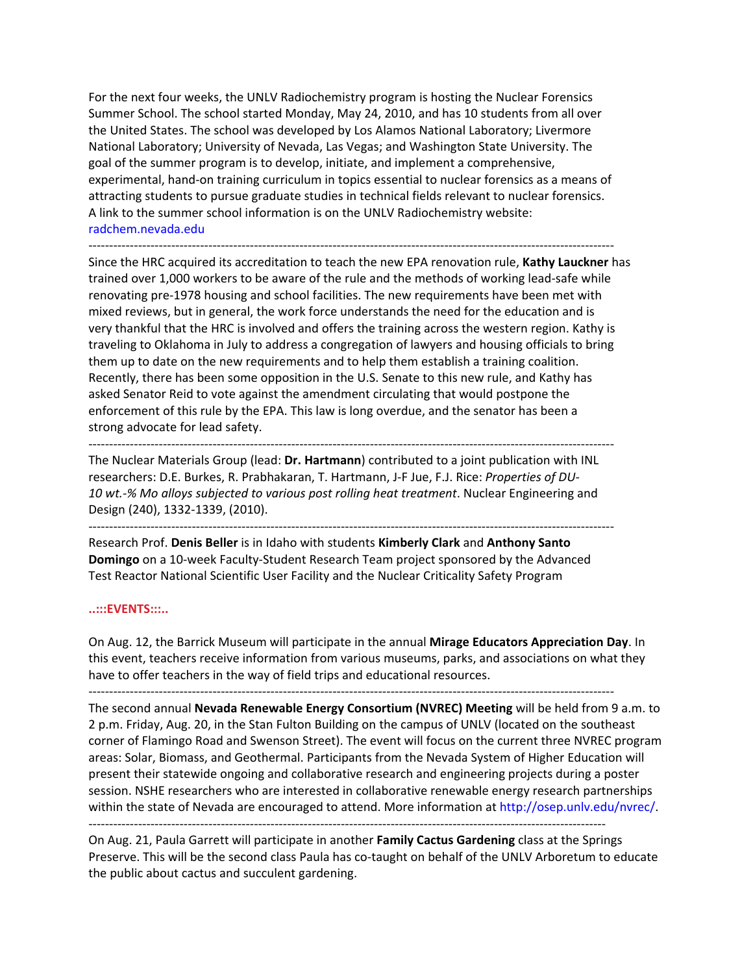For the next four weeks, the UNLV Radiochemistry program is hosting the Nuclear Forensics Summer School. The school started Monday, May 24, 2010, and has 10 students from all over the United States. The school was developed by Los Alamos National Laboratory; Livermore National Laboratory; University of Nevada, Las Vegas; and Washington State University. The goal of the summer program is to develop, initiate, and implement a comprehensive, experimental, hand‐on training curriculum in topics essential to nuclear forensics as a means of attracting students to pursue graduate studies in technical fields relevant to nuclear forensics. A link to the summer school information is on the UNLV Radiochemistry website: radchem.nevada.edu

‐‐‐‐‐‐‐‐‐‐‐‐‐‐‐‐‐‐‐‐‐‐‐‐‐‐‐‐‐‐‐‐‐‐‐‐‐‐‐‐‐‐‐‐‐‐‐‐‐‐‐‐‐‐‐‐‐‐‐‐‐‐‐‐‐‐‐‐‐‐‐‐‐‐‐‐‐‐‐‐‐‐‐‐‐‐‐‐‐‐‐‐‐‐‐‐‐‐‐‐‐‐‐‐‐‐‐‐‐‐‐‐‐‐‐‐‐‐‐‐‐‐‐‐‐‐‐

Since the HRC acquired its accreditation to teach the new EPA renovation rule, **Kathy Lauckner** has trained over 1,000 workers to be aware of the rule and the methods of working lead‐safe while renovating pre‐1978 housing and school facilities. The new requirements have been met with mixed reviews, but in general, the work force understands the need for the education and is very thankful that the HRC is involved and offers the training across the western region. Kathy is traveling to Oklahoma in July to address a congregation of lawyers and housing officials to bring them up to date on the new requirements and to help them establish a training coalition. Recently, there has been some opposition in the U.S. Senate to this new rule, and Kathy has asked Senator Reid to vote against the amendment circulating that would postpone the enforcement of this rule by the EPA. This law is long overdue, and the senator has been a strong advocate for lead safety.

The Nuclear Materials Group (lead: **Dr. Hartmann**) contributed to a joint publication with INL researchers: D.E. Burkes, R. Prabhakaran, T. Hartmann, J‐F Jue, F.J. Rice: *Properties of DU‐ 10 wt.‐% Mo alloys subjected to various post rolling heat treatment*. Nuclear Engineering and Design (240), 1332‐1339, (2010).

‐‐‐‐‐‐‐‐‐‐‐‐‐‐‐‐‐‐‐‐‐‐‐‐‐‐‐‐‐‐‐‐‐‐‐‐‐‐‐‐‐‐‐‐‐‐‐‐‐‐‐‐‐‐‐‐‐‐‐‐‐‐‐‐‐‐‐‐‐‐‐‐‐‐‐‐‐‐‐‐‐‐‐‐‐‐‐‐‐‐‐‐‐‐‐‐‐‐‐‐‐‐‐‐‐‐‐‐‐‐‐‐‐‐‐‐‐‐‐‐‐‐‐‐‐‐‐

‐‐‐‐‐‐‐‐‐‐‐‐‐‐‐‐‐‐‐‐‐‐‐‐‐‐‐‐‐‐‐‐‐‐‐‐‐‐‐‐‐‐‐‐‐‐‐‐‐‐‐‐‐‐‐‐‐‐‐‐‐‐‐‐‐‐‐‐‐‐‐‐‐‐‐‐‐‐‐‐‐‐‐‐‐‐‐‐‐‐‐‐‐‐‐‐‐‐‐‐‐‐‐‐‐‐‐‐‐‐‐‐‐‐‐‐‐‐‐‐‐‐‐‐‐‐‐

Research Prof. **Denis Beller** is in Idaho with students **Kimberly Clark** and **Anthony Santo Domingo** on a 10‐week Faculty‐Student Research Team project sponsored by the Advanced Test Reactor National Scientific User Facility and the Nuclear Criticality Safety Program

#### **..:::EVENTS:::..**

On Aug. 12, the Barrick Museum will participate in the annual **Mirage Educators Appreciation Day**. In this event, teachers receive information from various museums, parks, and associations on what they have to offer teachers in the way of field trips and educational resources.

‐‐‐‐‐‐‐‐‐‐‐‐‐‐‐‐‐‐‐‐‐‐‐‐‐‐‐‐‐‐‐‐‐‐‐‐‐‐‐‐‐‐‐‐‐‐‐‐‐‐‐‐‐‐‐‐‐‐‐‐‐‐‐‐‐‐‐‐‐‐‐‐‐‐‐‐‐‐‐‐‐‐‐‐‐‐‐‐‐‐‐‐‐‐‐‐‐‐‐‐‐‐‐‐‐‐‐‐‐‐‐‐‐‐‐‐‐‐‐‐‐‐‐‐‐‐‐

The second annual **Nevada Renewable Energy Consortium (NVREC) Meeting** will be held from 9 a.m. to 2 p.m. Friday, Aug. 20, in the Stan Fulton Building on the campus of UNLV (located on the southeast corner of Flamingo Road and Swenson Street). The event will focus on the current three NVREC program areas: Solar, Biomass, and Geothermal. Participants from the Nevada System of Higher Education will present their statewide ongoing and collaborative research and engineering projects during a poster session. NSHE researchers who are interested in collaborative renewable energy research partnerships within the state of Nevada are encouraged to attend. More information at http://osep.unlv.edu/nvrec/.

On Aug. 21, Paula Garrett will participate in another **Family Cactus Gardening** class at the Springs Preserve. This will be the second class Paula has co-taught on behalf of the UNLV Arboretum to educate the public about cactus and succulent gardening.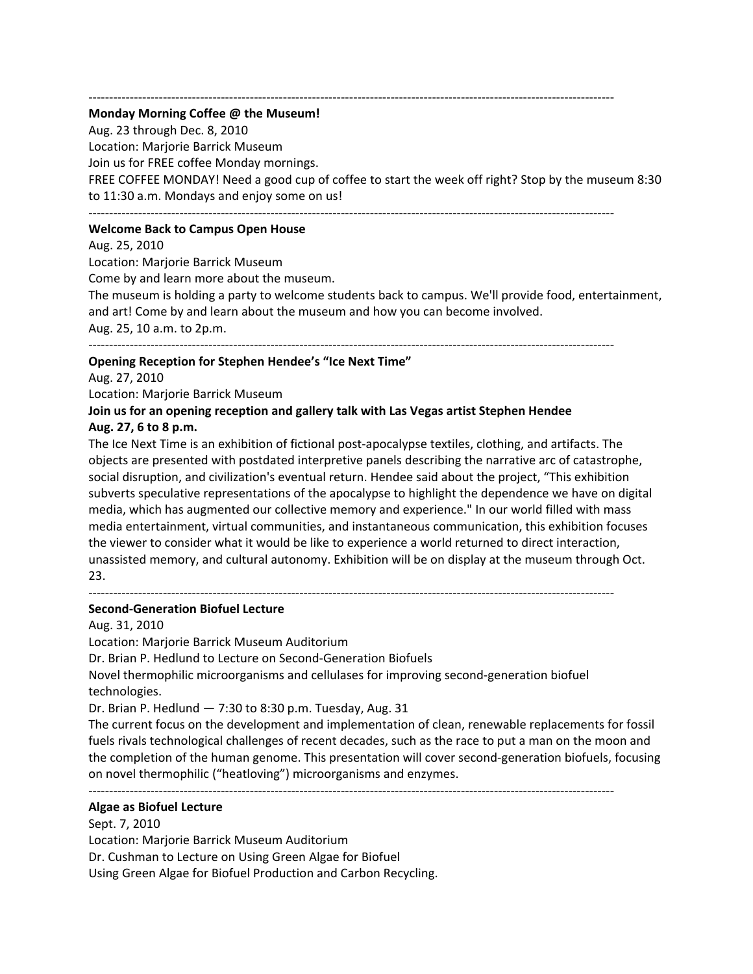#### ‐‐‐‐‐‐‐‐‐‐‐‐‐‐‐‐‐‐‐‐‐‐‐‐‐‐‐‐‐‐‐‐‐‐‐‐‐‐‐‐‐‐‐‐‐‐‐‐‐‐‐‐‐‐‐‐‐‐‐‐‐‐‐‐‐‐‐‐‐‐‐‐‐‐‐‐‐‐‐‐‐‐‐‐‐‐‐‐‐‐‐‐‐‐‐‐‐‐‐‐‐‐‐‐‐‐‐‐‐‐‐‐‐‐‐‐‐‐‐‐‐‐‐‐‐‐‐

#### **Monday Morning Coffee @ the Museum!**

Aug. 23 through Dec. 8, 2010 Location: Marjorie Barrick Museum Join us for FREE coffee Monday mornings.

FREE COFFEE MONDAY! Need a good cup of coffee to start the week off right? Stop by the museum 8:30 to 11:30 a.m. Mondays and enjoy some on us!

‐‐‐‐‐‐‐‐‐‐‐‐‐‐‐‐‐‐‐‐‐‐‐‐‐‐‐‐‐‐‐‐‐‐‐‐‐‐‐‐‐‐‐‐‐‐‐‐‐‐‐‐‐‐‐‐‐‐‐‐‐‐‐‐‐‐‐‐‐‐‐‐‐‐‐‐‐‐‐‐‐‐‐‐‐‐‐‐‐‐‐‐‐‐‐‐‐‐‐‐‐‐‐‐‐‐‐‐‐‐‐‐‐‐‐‐‐‐‐‐‐‐‐‐‐‐‐

#### **Welcome Back to Campus Open House**

Aug. 25, 2010

Location: Marjorie Barrick Museum

Come by and learn more about the museum.

The museum is holding a party to welcome students back to campus. We'll provide food, entertainment, and art! Come by and learn about the museum and how you can become involved. Aug. 25, 10 a.m. to 2p.m.

‐‐‐‐‐‐‐‐‐‐‐‐‐‐‐‐‐‐‐‐‐‐‐‐‐‐‐‐‐‐‐‐‐‐‐‐‐‐‐‐‐‐‐‐‐‐‐‐‐‐‐‐‐‐‐‐‐‐‐‐‐‐‐‐‐‐‐‐‐‐‐‐‐‐‐‐‐‐‐‐‐‐‐‐‐‐‐‐‐‐‐‐‐‐‐‐‐‐‐‐‐‐‐‐‐‐‐‐‐‐‐‐‐‐‐‐‐‐‐‐‐‐‐‐‐‐‐

#### **Opening Reception for Stephen Hendee's "Ice Next Time"**

Aug. 27, 2010

Location: Marjorie Barrick Museum

## **Join us for an opening reception and gallery talk with Las Vegas artist Stephen Hendee**

#### **Aug. 27, 6 to 8 p.m.**

The Ice Next Time is an exhibition of fictional post‐apocalypse textiles, clothing, and artifacts. The objects are presented with postdated interpretive panels describing the narrative arc of catastrophe, social disruption, and civilization's eventual return. Hendee said about the project, "This exhibition subverts speculative representations of the apocalypse to highlight the dependence we have on digital media, which has augmented our collective memory and experience." In our world filled with mass media entertainment, virtual communities, and instantaneous communication, this exhibition focuses the viewer to consider what it would be like to experience a world returned to direct interaction, unassisted memory, and cultural autonomy. Exhibition will be on display at the museum through Oct. 23.

‐‐‐‐‐‐‐‐‐‐‐‐‐‐‐‐‐‐‐‐‐‐‐‐‐‐‐‐‐‐‐‐‐‐‐‐‐‐‐‐‐‐‐‐‐‐‐‐‐‐‐‐‐‐‐‐‐‐‐‐‐‐‐‐‐‐‐‐‐‐‐‐‐‐‐‐‐‐‐‐‐‐‐‐‐‐‐‐‐‐‐‐‐‐‐‐‐‐‐‐‐‐‐‐‐‐‐‐‐‐‐‐‐‐‐‐‐‐‐‐‐‐‐‐‐‐‐

#### **Second‐Generation Biofuel Lecture**

Aug. 31, 2010

Location: Marjorie Barrick Museum Auditorium

Dr. Brian P. Hedlund to Lecture on Second‐Generation Biofuels

Novel thermophilic microorganisms and cellulases for improving second‐generation biofuel technologies.

Dr. Brian P. Hedlund — 7:30 to 8:30 p.m. Tuesday, Aug. 31

The current focus on the development and implementation of clean, renewable replacements for fossil fuels rivals technological challenges of recent decades, such as the race to put a man on the moon and the completion of the human genome. This presentation will cover second-generation biofuels, focusing on novel thermophilic ("heatloving") microorganisms and enzymes.

‐‐‐‐‐‐‐‐‐‐‐‐‐‐‐‐‐‐‐‐‐‐‐‐‐‐‐‐‐‐‐‐‐‐‐‐‐‐‐‐‐‐‐‐‐‐‐‐‐‐‐‐‐‐‐‐‐‐‐‐‐‐‐‐‐‐‐‐‐‐‐‐‐‐‐‐‐‐‐‐‐‐‐‐‐‐‐‐‐‐‐‐‐‐‐‐‐‐‐‐‐‐‐‐‐‐‐‐‐‐‐‐‐‐‐‐‐‐‐‐‐‐‐‐‐‐‐

#### **Algae as Biofuel Lecture**

Sept. 7, 2010

Location: Marjorie Barrick Museum Auditorium

Dr. Cushman to Lecture on Using Green Algae for Biofuel

Using Green Algae for Biofuel Production and Carbon Recycling.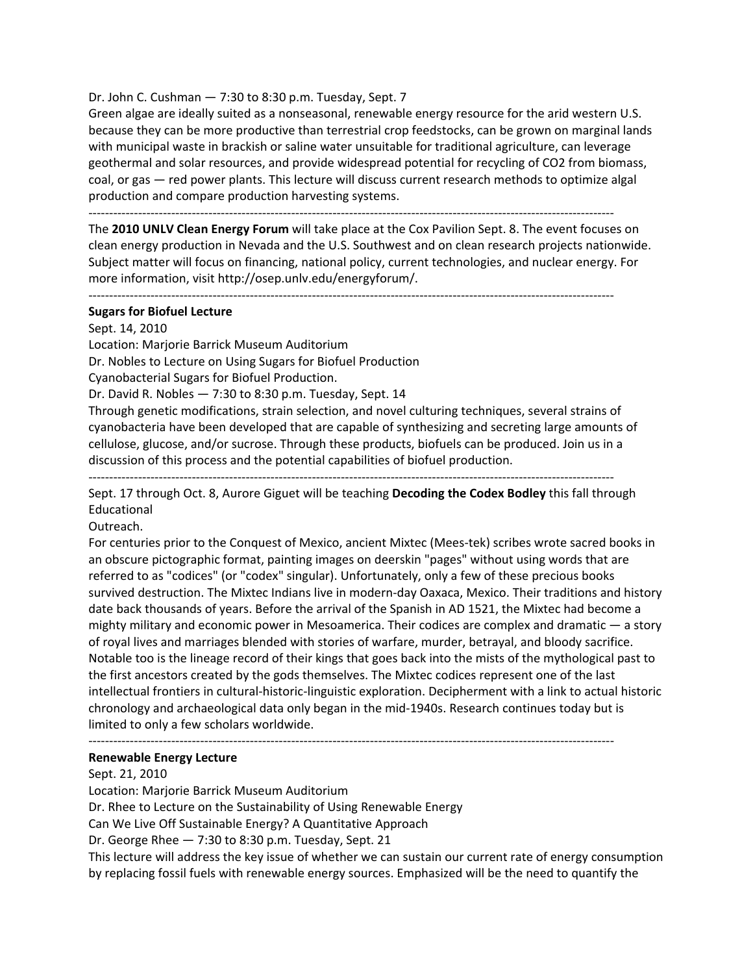Dr. John C. Cushman — 7:30 to 8:30 p.m. Tuesday, Sept. 7

Green algae are ideally suited as a nonseasonal, renewable energy resource for the arid western U.S. because they can be more productive than terrestrial crop feedstocks, can be grown on marginal lands with municipal waste in brackish or saline water unsuitable for traditional agriculture, can leverage geothermal and solar resources, and provide widespread potential for recycling of CO2 from biomass, coal, or gas — red power plants. This lecture will discuss current research methods to optimize algal production and compare production harvesting systems.

‐‐‐‐‐‐‐‐‐‐‐‐‐‐‐‐‐‐‐‐‐‐‐‐‐‐‐‐‐‐‐‐‐‐‐‐‐‐‐‐‐‐‐‐‐‐‐‐‐‐‐‐‐‐‐‐‐‐‐‐‐‐‐‐‐‐‐‐‐‐‐‐‐‐‐‐‐‐‐‐‐‐‐‐‐‐‐‐‐‐‐‐‐‐‐‐‐‐‐‐‐‐‐‐‐‐‐‐‐‐‐‐‐‐‐‐‐‐‐‐‐‐‐‐‐‐‐

The **2010 UNLV Clean Energy Forum** will take place at the Cox Pavilion Sept. 8. The event focuses on clean energy production in Nevada and the U.S. Southwest and on clean research projects nationwide. Subject matter will focus on financing, national policy, current technologies, and nuclear energy. For more information, visit http://osep.unlv.edu/energyforum/.

‐‐‐‐‐‐‐‐‐‐‐‐‐‐‐‐‐‐‐‐‐‐‐‐‐‐‐‐‐‐‐‐‐‐‐‐‐‐‐‐‐‐‐‐‐‐‐‐‐‐‐‐‐‐‐‐‐‐‐‐‐‐‐‐‐‐‐‐‐‐‐‐‐‐‐‐‐‐‐‐‐‐‐‐‐‐‐‐‐‐‐‐‐‐‐‐‐‐‐‐‐‐‐‐‐‐‐‐‐‐‐‐‐‐‐‐‐‐‐‐‐‐‐‐‐‐‐

#### **Sugars for Biofuel Lecture**

Sept. 14, 2010

Location: Marjorie Barrick Museum Auditorium

Dr. Nobles to Lecture on Using Sugars for Biofuel Production

Cyanobacterial Sugars for Biofuel Production.

Dr. David R. Nobles — 7:30 to 8:30 p.m. Tuesday, Sept. 14

Through genetic modifications, strain selection, and novel culturing techniques, several strains of cyanobacteria have been developed that are capable of synthesizing and secreting large amounts of cellulose, glucose, and/or sucrose. Through these products, biofuels can be produced. Join us in a discussion of this process and the potential capabilities of biofuel production.

‐‐‐‐‐‐‐‐‐‐‐‐‐‐‐‐‐‐‐‐‐‐‐‐‐‐‐‐‐‐‐‐‐‐‐‐‐‐‐‐‐‐‐‐‐‐‐‐‐‐‐‐‐‐‐‐‐‐‐‐‐‐‐‐‐‐‐‐‐‐‐‐‐‐‐‐‐‐‐‐‐‐‐‐‐‐‐‐‐‐‐‐‐‐‐‐‐‐‐‐‐‐‐‐‐‐‐‐‐‐‐‐‐‐‐‐‐‐‐‐‐‐‐‐‐‐‐

Sept. 17 through Oct. 8, Aurore Giguet will be teaching **Decoding the Codex Bodley** this fall through Educational

Outreach.

For centuries prior to the Conquest of Mexico, ancient Mixtec (Mees‐tek) scribes wrote sacred books in an obscure pictographic format, painting images on deerskin "pages" without using words that are referred to as "codices" (or "codex" singular). Unfortunately, only a few of these precious books survived destruction. The Mixtec Indians live in modern‐day Oaxaca, Mexico. Their traditions and history date back thousands of years. Before the arrival of the Spanish in AD 1521, the Mixtec had become a mighty military and economic power in Mesoamerica. Their codices are complex and dramatic — a story of royal lives and marriages blended with stories of warfare, murder, betrayal, and bloody sacrifice. Notable too is the lineage record of their kings that goes back into the mists of the mythological past to the first ancestors created by the gods themselves. The Mixtec codices represent one of the last intellectual frontiers in cultural‐historic‐linguistic exploration. Decipherment with a link to actual historic chronology and archaeological data only began in the mid‐1940s. Research continues today but is limited to only a few scholars worldwide.

‐‐‐‐‐‐‐‐‐‐‐‐‐‐‐‐‐‐‐‐‐‐‐‐‐‐‐‐‐‐‐‐‐‐‐‐‐‐‐‐‐‐‐‐‐‐‐‐‐‐‐‐‐‐‐‐‐‐‐‐‐‐‐‐‐‐‐‐‐‐‐‐‐‐‐‐‐‐‐‐‐‐‐‐‐‐‐‐‐‐‐‐‐‐‐‐‐‐‐‐‐‐‐‐‐‐‐‐‐‐‐‐‐‐‐‐‐‐‐‐‐‐‐‐‐‐‐

#### **Renewable Energy Lecture**

Sept. 21, 2010

Location: Marjorie Barrick Museum Auditorium

Dr. Rhee to Lecture on the Sustainability of Using Renewable Energy

Can We Live Off Sustainable Energy? A Quantitative Approach

Dr. George Rhee — 7:30 to 8:30 p.m. Tuesday, Sept. 21

This lecture will address the key issue of whether we can sustain our current rate of energy consumption by replacing fossil fuels with renewable energy sources. Emphasized will be the need to quantify the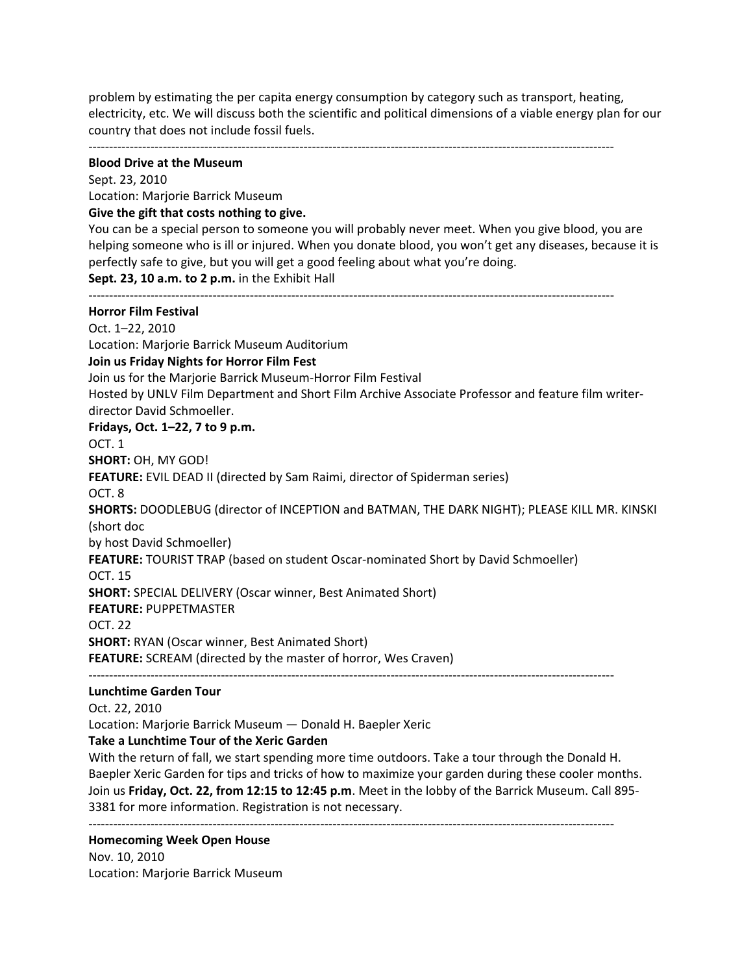problem by estimating the per capita energy consumption by category such as transport, heating, electricity, etc. We will discuss both the scientific and political dimensions of a viable energy plan for our country that does not include fossil fuels.

‐‐‐‐‐‐‐‐‐‐‐‐‐‐‐‐‐‐‐‐‐‐‐‐‐‐‐‐‐‐‐‐‐‐‐‐‐‐‐‐‐‐‐‐‐‐‐‐‐‐‐‐‐‐‐‐‐‐‐‐‐‐‐‐‐‐‐‐‐‐‐‐‐‐‐‐‐‐‐‐‐‐‐‐‐‐‐‐‐‐‐‐‐‐‐‐‐‐‐‐‐‐‐‐‐‐‐‐‐‐‐‐‐‐‐‐‐‐‐‐‐‐‐‐‐‐‐

#### **Blood Drive at the Museum**

Sept. 23, 2010

Location: Marjorie Barrick Museum

#### **Give the gift that costs nothing to give.**

You can be a special person to someone you will probably never meet. When you give blood, you are helping someone who is ill or injured. When you donate blood, you won't get any diseases, because it is perfectly safe to give, but you will get a good feeling about what you're doing. **Sept. 23, 10 a.m. to 2 p.m.** in the Exhibit Hall

‐‐‐‐‐‐‐‐‐‐‐‐‐‐‐‐‐‐‐‐‐‐‐‐‐‐‐‐‐‐‐‐‐‐‐‐‐‐‐‐‐‐‐‐‐‐‐‐‐‐‐‐‐‐‐‐‐‐‐‐‐‐‐‐‐‐‐‐‐‐‐‐‐‐‐‐‐‐‐‐‐‐‐‐‐‐‐‐‐‐‐‐‐‐‐‐‐‐‐‐‐‐‐‐‐‐‐‐‐‐‐‐‐‐‐‐‐‐‐‐‐‐‐‐‐‐‐

#### **Horror Film Festival**

Oct. 1–22, 2010 Location: Marjorie Barrick Museum Auditorium **Join us Friday Nights for Horror Film Fest** Join us for the Marjorie Barrick Museum‐Horror Film Festival Hosted by UNLV Film Department and Short Film Archive Associate Professor and feature film writer‐ director David Schmoeller. **Fridays, Oct. 1–22, 7 to 9 p.m.** OCT. 1 **SHORT:** OH, MY GOD! **FEATURE:** EVIL DEAD II (directed by Sam Raimi, director of Spiderman series)

OCT. 8

**SHORTS:** DOODLEBUG (director of INCEPTION and BATMAN, THE DARK NIGHT); PLEASE KILL MR. KINSKI (short doc

by host David Schmoeller)

**FEATURE:** TOURIST TRAP (based on student Oscar‐nominated Short by David Schmoeller)

OCT. 15

**SHORT:** SPECIAL DELIVERY (Oscar winner, Best Animated Short)

**FEATURE:** PUPPETMASTER

OCT. 22

**SHORT:** RYAN (Oscar winner, Best Animated Short)

**FEATURE:** SCREAM (directed by the master of horror, Wes Craven)

‐‐‐‐‐‐‐‐‐‐‐‐‐‐‐‐‐‐‐‐‐‐‐‐‐‐‐‐‐‐‐‐‐‐‐‐‐‐‐‐‐‐‐‐‐‐‐‐‐‐‐‐‐‐‐‐‐‐‐‐‐‐‐‐‐‐‐‐‐‐‐‐‐‐‐‐‐‐‐‐‐‐‐‐‐‐‐‐‐‐‐‐‐‐‐‐‐‐‐‐‐‐‐‐‐‐‐‐‐‐‐‐‐‐‐‐‐‐‐‐‐‐‐‐‐‐‐

#### **Lunchtime Garden Tour**

Oct. 22, 2010

Location: Marjorie Barrick Museum — Donald H. Baepler Xeric

#### **Take a Lunchtime Tour of the Xeric Garden**

With the return of fall, we start spending more time outdoors. Take a tour through the Donald H. Baepler Xeric Garden for tips and tricks of how to maximize your garden during these cooler months. Join us **Friday, Oct. 22, from 12:15 to 12:45 p.m**. Meet in the lobby of the Barrick Museum. Call 895‐ 3381 for more information. Registration is not necessary.

#### **Homecoming Week Open House**

Nov. 10, 2010 Location: Marjorie Barrick Museum